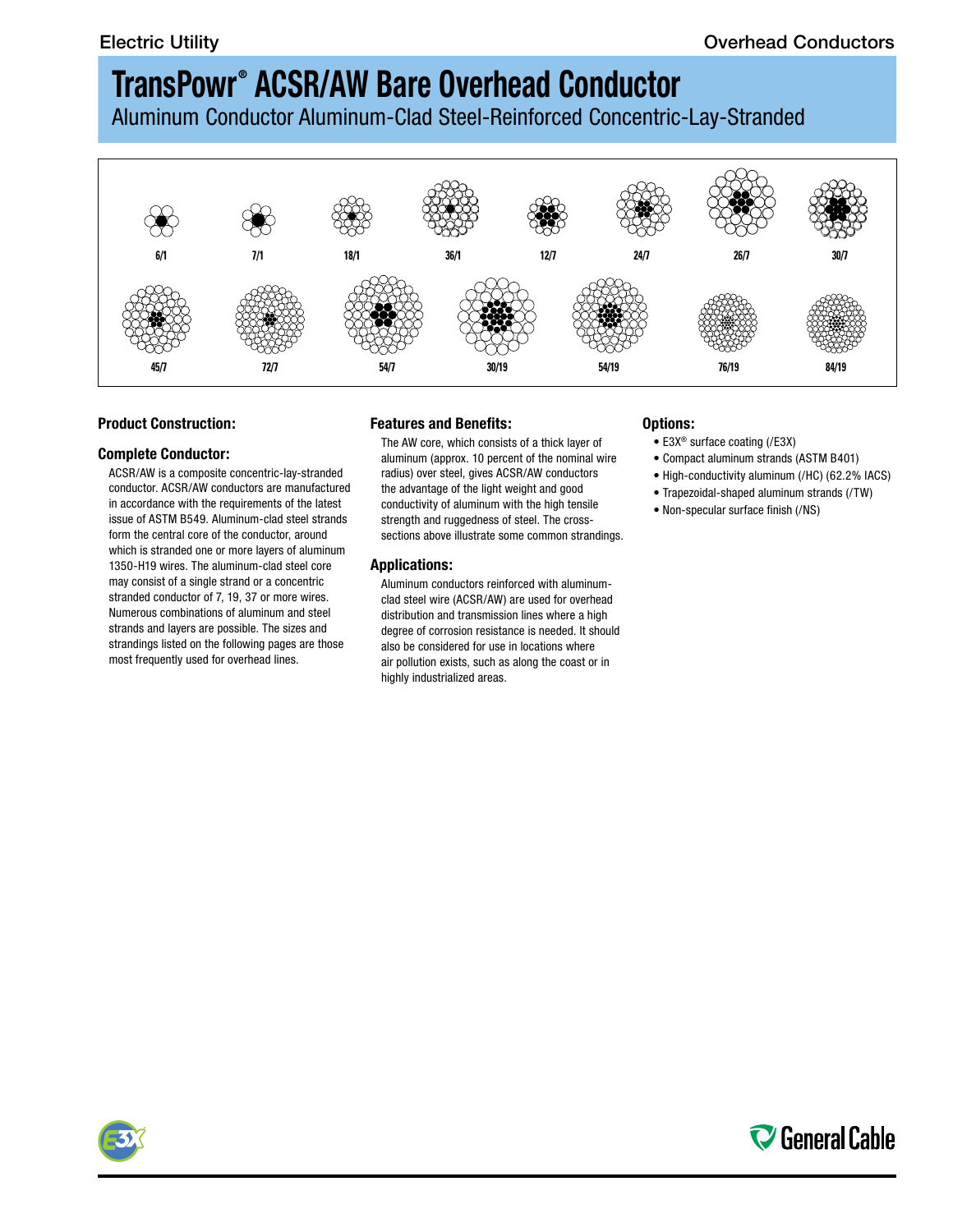Aluminum Conductor Aluminum-Clad Steel-Reinforced Concentric-Lay-Stranded



## **Product Construction:**

#### **Complete Conductor:**

ACSR/AW is a composite concentric-lay-stranded conductor. ACSR/AW conductors are manufactured in accordance with the requirements of the latest issue of ASTM B549. Aluminum-clad steel strands form the central core of the conductor, around which is stranded one or more layers of aluminum 1350-H19 wires. The aluminum-clad steel core may consist of a single strand or a concentric stranded conductor of 7, 19, 37 or more wires. Numerous combinations of aluminum and steel strands and layers are possible. The sizes and strandings listed on the following pages are those most frequently used for overhead lines.

### **Features and Benefits:**

The AW core, which consists of a thick layer of aluminum (approx. 10 percent of the nominal wire radius) over steel, gives ACSR/AW conductors the advantage of the light weight and good conductivity of aluminum with the high tensile strength and ruggedness of steel. The crosssections above illustrate some common strandings.

### **Applications:**

Aluminum conductors reinforced with aluminumclad steel wire (ACSR/AW) are used for overhead distribution and transmission lines where a high degree of corrosion resistance is needed. It should also be considered for use in locations where air pollution exists, such as along the coast or in highly industrialized areas.

## **Options:**

- E3X® surface coating (/E3X)
- Compact aluminum strands (ASTM B401)
- High-conductivity aluminum (/HC) (62.2% IACS)
- Trapezoidal-shaped aluminum strands (/TW)
- Non-specular surface finish (/NS)



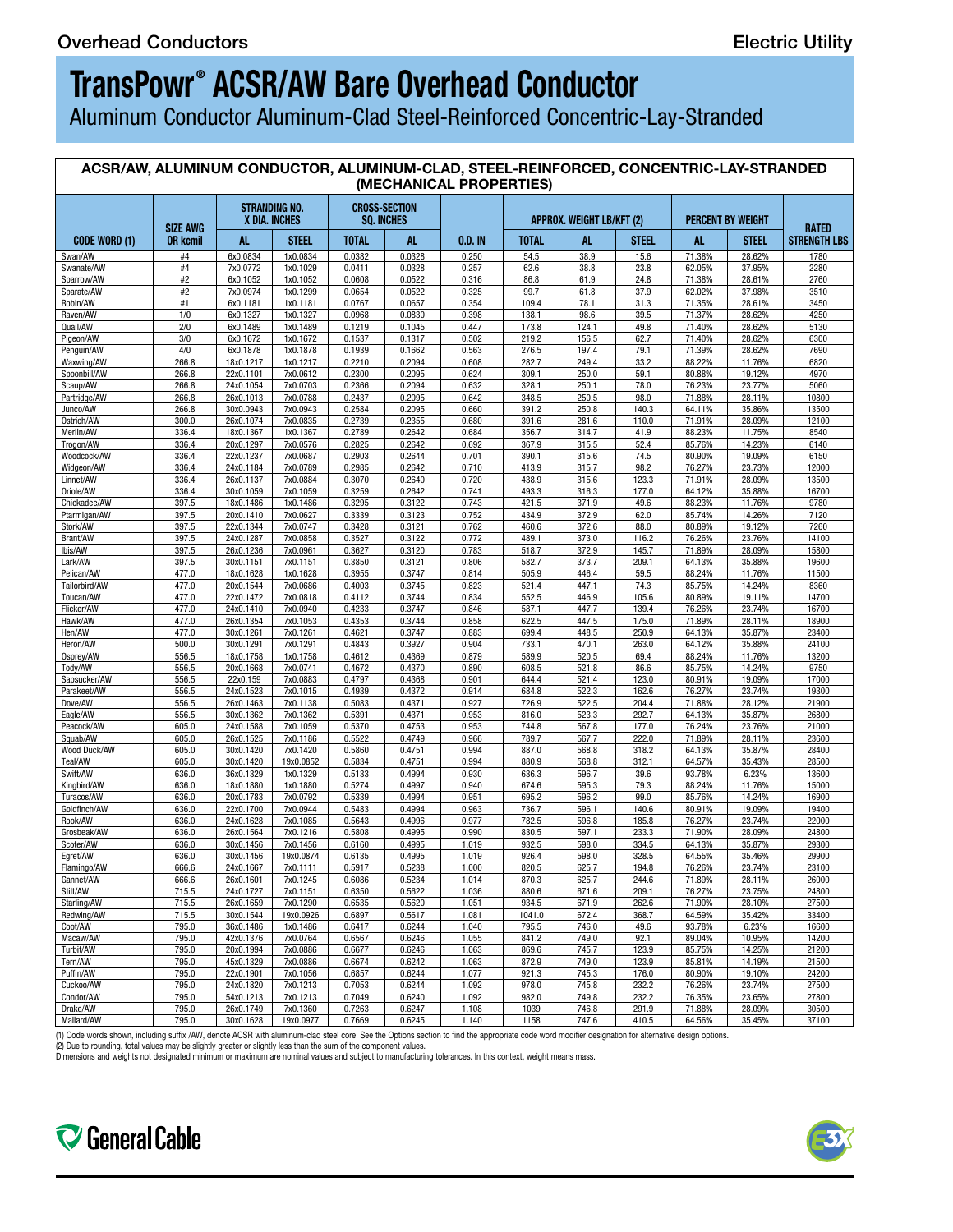Aluminum Conductor Aluminum-Clad Steel-Reinforced Concentric-Lay-Stranded

| ACSR/AW, ALUMINUM CONDUCTOR, ALUMINUM-CLAD, STEEL-REINFORCED, CONCENTRIC-LAY-STRANDED<br>(MECHANICAL PROPERTIES) |                                    |                        |                                       |                                           |                  |                |                 |                           |                |                  |                   |                                     |
|------------------------------------------------------------------------------------------------------------------|------------------------------------|------------------------|---------------------------------------|-------------------------------------------|------------------|----------------|-----------------|---------------------------|----------------|------------------|-------------------|-------------------------------------|
|                                                                                                                  |                                    |                        | <b>STRANDING NO.</b><br>X DIA. INCHES | <b>CROSS-SECTION</b><br><b>SQ. INCHES</b> |                  |                |                 | APPROX. WEIGHT LB/KFT (2) |                |                  | PERCENT BY WEIGHT |                                     |
| <b>CODE WORD (1)</b>                                                                                             | <b>SIZE AWG</b><br><b>OR kcmil</b> | AL.                    | <b>STEEL</b>                          | <b>TOTAL</b>                              | AL.              | 0.D. IN        | <b>TOTAL</b>    | AL.                       | <b>STEEL</b>   | AL.              | <b>STEEL</b>      | <b>RATED</b><br><b>STRENGTH LBS</b> |
| Swan/AW                                                                                                          | #4                                 | 6x0.0834               | 1x0.0834                              | 0.0382                                    | 0.0328           | 0.250          | 54.5            | 38.9                      | 15.6           | 71.38%           | 28.62%            | 1780                                |
| Swanate/AW                                                                                                       | #4                                 | 7x0.0772               | 1x0.1029                              | 0.0411                                    | 0.0328           | 0.257          | 62.6            | 38.8                      | 23.8           | 62.05%           | 37.95%            | 2280                                |
| Sparrow/AW                                                                                                       | #2<br>#2                           | 6x0.1052<br>7x0.0974   | 1x0.1052<br>1x0.1299                  | 0.0608<br>0.0654                          | 0.0522<br>0.0522 | 0.316<br>0.325 | 86.8<br>99.7    | 61.9<br>61.8              | 24.8<br>37.9   | 71.38%<br>62.02% | 28.61%<br>37.98%  | 2760<br>3510                        |
| Sparate/AW<br>Robin/AW                                                                                           | #1                                 | 6x0.1181               | 1x0.1181                              | 0.0767                                    | 0.0657           | 0.354          | 109.4           | 78.1                      | 31.3           | 71.35%           | 28.61%            | 3450                                |
| Raven/AW                                                                                                         | 1/0                                | 6x0.1327               | 1x0.1327                              | 0.0968                                    | 0.0830           | 0.398          | 138.1           | 98.6                      | 39.5           | 71.37%           | 28.62%            | 4250                                |
| Quail/AW                                                                                                         | 2/0                                | 6x0.1489               | 1x0.1489                              | 0.1219                                    | 0.1045           | 0.447          | 173.8           | 124.1                     | 49.8           | 71.40%           | 28.62%            | 5130                                |
| Pigeon/AW<br>Penguin/AW                                                                                          | 3/0<br>4/0                         | 6x0.1672<br>6x0.1878   | 1x0.1672<br>1x0.1878                  | 0.1537<br>0.1939                          | 0.1317<br>0.1662 | 0.502<br>0.563 | 219.2<br>276.5  | 156.5<br>197.4            | 62.7<br>79.1   | 71.40%<br>71.39% | 28.62%<br>28.62%  | 6300<br>7690                        |
| Waxwing/AW                                                                                                       | 266.8                              | 18x0.1217              | 1x0.1217                              | 0.2210                                    | 0.2094           | 0.608          | 282.7           | 249.4                     | 33.2           | 88.22%           | 11.76%            | 6820                                |
| Spoonbill/AW                                                                                                     | 266.8                              | 22x0.1101              | 7x0.0612                              | 0.2300                                    | 0.2095           | 0.624          | 309.1           | 250.0                     | 59.1           | 80.88%           | 19.12%            | 4970                                |
| Scaup/AW                                                                                                         | 266.8                              | 24x0.1054              | 7x0.0703                              | 0.2366                                    | 0.2094           | 0.632          | 328.1           | 250.1                     | 78.0           | 76.23%           | 23.77%            | 5060                                |
| Partridge/AW<br>Junco/AW                                                                                         | 266.8<br>266.8                     | 26x0.1013<br>30x0.0943 | 7x0.0788<br>7x0.0943                  | 0.2437<br>0.2584                          | 0.2095<br>0.2095 | 0.642<br>0.660 | 348.5<br>391.2  | 250.5<br>250.8            | 98.0<br>140.3  | 71.88%<br>64.11% | 28.11%<br>35.86%  | 10800<br>13500                      |
| Ostrich/AW                                                                                                       | 300.0                              | 26x0.1074              | 7x0.0835                              | 0.2739                                    | 0.2355           | 0.680          | 391.6           | 281.6                     | 110.0          | 71.91%           | 28.09%            | 12100                               |
| Merlin/AW                                                                                                        | 336.4                              | 18x0.1367              | 1x0.1367                              | 0.2789                                    | 0.2642           | 0.684          | 356.7           | 314.7                     | 41.9           | 88.23%           | 11.75%            | 8540                                |
| Trogon/AW                                                                                                        | 336.4                              | 20x0.1297              | 7x0.0576                              | 0.2825                                    | 0.2642           | 0.692          | 367.9           | 315.5                     | 52.4           | 85.76%           | 14.23%            | 6140                                |
| Woodcock/AW<br>Widgeon/AW                                                                                        | 336.4<br>336.4                     | 22x0.1237<br>24x0.1184 | 7x0.0687<br>7x0.0789                  | 0.2903<br>0.2985                          | 0.2644<br>0.2642 | 0.701<br>0.710 | 390.1<br>413.9  | 315.6<br>315.7            | 74.5<br>98.2   | 80.90%<br>76.27% | 19.09%<br>23.73%  | 6150<br>12000                       |
| Linnet/AW                                                                                                        | 336.4                              | 26x0.1137              | 7x0.0884                              | 0.3070                                    | 0.2640           | 0.720          | 438.9           | 315.6                     | 123.3          | 71.91%           | 28.09%            | 13500                               |
| Oriole/AW                                                                                                        | 336.4                              | 30x0.1059              | 7x0.1059                              | 0.3259                                    | 0.2642           | 0.741          | 493.3           | 316.3                     | 177.0          | 64.12%           | 35.88%            | 16700                               |
| Chickadee/AW                                                                                                     | 397.5                              | 18x0.1486              | 1x0.1486                              | 0.3295                                    | 0.3122           | 0.743          | 421.5           | 371.9                     | 49.6           | 88.23%           | 11.76%            | 9780                                |
| Ptarmigan/AW<br>Stork/AW                                                                                         | 397.5<br>397.5                     | 20x0.1410<br>22x0.1344 | 7x0.0627<br>7x0.0747                  | 0.3339<br>0.3428                          | 0.3123<br>0.3121 | 0.752<br>0.762 | 434.9<br>460.6  | 372.9<br>372.6            | 62.0<br>88.0   | 85.74%<br>80.89% | 14.26%<br>19.12%  | 7120<br>7260                        |
| Brant/AW                                                                                                         | 397.5                              | 24x0.1287              | 7x0.0858                              | 0.3527                                    | 0.3122           | 0.772          | 489.1           | 373.0                     | 116.2          | 76.26%           | 23.76%            | 14100                               |
| lbis/AW                                                                                                          | 397.5                              | 26x0.1236              | 7x0.0961                              | 0.3627                                    | 0.3120           | 0.783          | 518.7           | 372.9                     | 145.7          | 71.89%           | 28.09%            | 15800                               |
| Lark/AW                                                                                                          | 397.5                              | 30x0.1151              | 7x0.1151                              | 0.3850                                    | 0.3121           | 0.806          | 582.7           | 373.7                     | 209.1          | 64.13%           | 35.88%            | 19600                               |
| Pelican/AW<br>Tailorbird/AW                                                                                      | 477.0<br>477.0                     | 18x0.1628<br>20x0.1544 | 1x0.1628<br>7x0.0686                  | 0.3955<br>0.4003                          | 0.3747<br>0.3745 | 0.814<br>0.823 | 505.9<br>521.4  | 446.4<br>447.1            | 59.5<br>74.3   | 88.24%<br>85.75% | 11.76%<br>14.24%  | 11500<br>8360                       |
| Toucan/AW                                                                                                        | 477.0                              | 22x0.1472              | 7x0.0818                              | 0.4112                                    | 0.3744           | 0.834          | 552.5           | 446.9                     | 105.6          | 80.89%           | 19.11%            | 14700                               |
| Flicker/AW                                                                                                       | 477.0                              | 24x0.1410              | 7x0.0940                              | 0.4233                                    | 0.3747           | 0.846          | 587.1           | 447.7                     | 139.4          | 76.26%           | 23.74%            | 16700                               |
| Hawk/AW                                                                                                          | 477.0                              | 26x0.1354              | 7x0.1053                              | 0.4353                                    | 0.3744           | 0.858          | 622.5           | 447.5                     | 175.0          | 71.89%           | 28.11%            | 18900                               |
| Hen/AW                                                                                                           | 477.0                              | 30x0.1261              | 7x0.1261                              | 0.4621                                    | 0.3747           | 0.883          | 699.4           | 448.5                     | 250.9          | 64.13%           | 35.87%            | 23400                               |
| Heron/AW<br>Osprey/AW                                                                                            | 500.0<br>556.5                     | 30x0.1291<br>18x0.1758 | 7x0.1291<br>1x0.1758                  | 0.4843<br>0.4612                          | 0.3927<br>0.4369 | 0.904<br>0.879 | 733.1<br>589.9  | 470.1<br>520.5            | 263.0<br>69.4  | 64.12%<br>88.24% | 35.88%<br>11.76%  | 24100<br>13200                      |
| Tody/AW                                                                                                          | 556.5                              | 20x0.1668              | 7x0.0741                              | 0.4672                                    | 0.4370           | 0.890          | 608.5           | 521.8                     | 86.6           | 85.75%           | 14.24%            | 9750                                |
| Sapsucker/AW                                                                                                     | 556.5                              | 22x0.159               | 7x0.0883                              | 0.4797                                    | 0.4368           | 0.901          | 644.4           | 521.4                     | 123.0          | 80.91%           | 19.09%            | 17000                               |
| Parakeet/AW                                                                                                      | 556.5                              | 24x0.1523              | 7x0.1015                              | 0.4939                                    | 0.4372           | 0.914          | 684.8           | 522.3                     | 162.6          | 76.27%           | 23.74%            | 19300                               |
| Dove/AW                                                                                                          | 556.5<br>556.5                     | 26x0.1463<br>30x0.1362 | 7x0.1138<br>7x0.1362                  | 0.5083<br>0.5391                          | 0.4371<br>0.4371 | 0.927<br>0.953 | 726.9<br>816.0  | 522.5<br>523.3            | 204.4<br>292.7 | 71.88%<br>64.13% | 28.12%<br>35.87%  | 21900<br>26800                      |
| Eagle/AW<br>Peacock/AW                                                                                           | 605.0                              | 24x0.1588              | 7x0.1059                              | 0.5370                                    | 0.4753           | 0.953          | 744.8           | 567.8                     | 177.0          | 76.24%           | 23.76%            | 21000                               |
| Squab/AW                                                                                                         | 605.0                              | 26x0.1525              | 7x0.1186                              | 0.5522                                    | 0.4749           | 0.966          | 789.7           | 567.7                     | 222.0          | 71.89%           | 28.11%            | 23600                               |
| Wood Duck/AW                                                                                                     | 605.0                              | 30x0.1420              | 7x0.1420                              | 0.5860                                    | 0.4751           | 0.994          | 887.0           | 568.8                     | 318.2          | 64.13%           | 35.87%            | 28400                               |
| Teal/AW                                                                                                          | 605.0                              | 30x0.1420              | 19x0.0852                             | 0.5834                                    | 0.4751           | 0.994          | 880.9           | 568.8                     | 312.1          | 64.57%           | 35.43%            | 28500                               |
| Swift/AW<br>Kingbird/AW                                                                                          | 636.0<br>636.0                     | 36x0.1329<br>18x0.1880 | 1x0.1329<br>1x0.1880                  | 0.5133<br>0.5274                          | 0.4994<br>0.4997 | 0.930<br>0.940 | 636.3<br>674.6  | 596.7<br>595.3            | 39.6<br>79.3   | 93.78%<br>88.24% | 6.23%<br>11.76%   | 13600<br>15000                      |
| Turacos/AW                                                                                                       | 636.0                              | 20x0.1783              | 7x0.0792                              | 0.5339                                    | 0.4994           | 0.951          | 695.2           | 596.2                     | 99.0           | 85.76%           | 14.24%            | 16900                               |
| Goldfinch/AW                                                                                                     | 636.0                              | 22x0.1700              | 7x0.0944                              | 0.5483                                    | 0.4994           | 0.963          | 736.7           | 596.1                     | 140.6          | 80.91%           | 19.09%            | 19400                               |
| Rook/AW                                                                                                          | 636.0                              | 24x0.1628              | 7x0.1085                              | 0.5643                                    | 0.4996           | 0.977          | 782.5           | 596.8                     | 185.8          | 76.27%           | 23.74%            | 22000                               |
| Grosbeak/AW<br>Scoter/AW                                                                                         | 636.0<br>636.0                     | 26x0.1564<br>30x0.1456 | 7x0.1216<br>7x0.1456                  | 0.5808<br>0.6160                          | 0.4995<br>0.4995 | 0.990<br>1.019 | 830.5<br>932.5  | 597.1<br>598.0            | 233.3<br>334.5 | 71.90%<br>64.13% | 28.09%<br>35.87%  | 24800<br>29300                      |
| Egret/AW                                                                                                         | 636.0                              | 30x0.1456              | 19x0.0874                             | 0.6135                                    | 0.4995           | 1.019          | 926.4           | 598.0                     | 328.5          | 64.55%           | 35.46%            | 29900                               |
| Flamingo/AW                                                                                                      | 666.6                              | 24x0.1667              | 7x0.1111                              | 0.5917                                    | 0.5238           | 1.000          | 820.5           | 625.7                     | 194.8          | 76.26%           | 23.74%            | 23100                               |
| Gannet/AW                                                                                                        | 666.6                              | 26x0.1601              | 7x0.1245                              | 0.6086                                    | 0.5234           | 1.014          | 870.3           | 625.7                     | 244.6          | 71.89%           | 28.11%            | 26000                               |
| Stilt/AW                                                                                                         | 715.5                              | 24x0.1727              | 7x0.1151                              | 0.6350                                    | 0.5622           | 1.036          | 880.6           | 671.6                     | 209.1          | 76.27%           | 23.75%            | 24800                               |
| Starling/AW<br>Redwing/AW                                                                                        | 715.5<br>715.5                     | 26x0.1659<br>30x0.1544 | 7x0.1290<br>19x0.0926                 | 0.6535<br>0.6897                          | 0.5620<br>0.5617 | 1.051<br>1.081 | 934.5<br>1041.0 | 671.9<br>672.4            | 262.6<br>368.7 | 71.90%<br>64.59% | 28.10%<br>35.42%  | 27500<br>33400                      |
| Coot/AW                                                                                                          | 795.0                              | 36x0.1486              | 1x0.1486                              | 0.6417                                    | 0.6244           | 1.040          | 795.5           | 746.0                     | 49.6           | 93.78%           | 6.23%             | 16600                               |
| Macaw/AW                                                                                                         | 795.0                              | 42x0.1376              | 7x0.0764                              | 0.6567                                    | 0.6246           | 1.055          | 841.2           | 749.0                     | 92.1           | 89.04%           | 10.95%            | 14200                               |
| Turbit/AW                                                                                                        | 795.0                              | 20x0.1994              | 7x0.0886                              | 0.6677                                    | 0.6246           | 1.063          | 869.6           | 745.7                     | 123.9          | 85.75%           | 14.25%            | 21200                               |
| Tern/AW<br>Puffin/AW                                                                                             | 795.0<br>795.0                     | 45x0.1329              | 7x0.0886                              | 0.6674<br>0.6857                          | 0.6242           | 1.063<br>1.077 | 872.9           | 749.0                     | 123.9          | 85.81%           | 14.19%<br>19.10%  | 21500<br>24200                      |
| Cuckoo/AW                                                                                                        | 795.0                              | 22x0.1901<br>24x0.1820 | 7x0.1056<br>7x0.1213                  | 0.7053                                    | 0.6244<br>0.6244 | 1.092          | 921.3<br>978.0  | 745.3<br>745.8            | 176.0<br>232.2 | 80.90%<br>76.26% | 23.74%            | 27500                               |
| Condor/AW                                                                                                        | 795.0                              | 54x0.1213              | 7x0.1213                              | 0.7049                                    | 0.6240           | 1.092          | 982.0           | 749.8                     | 232.2          | 76.35%           | 23.65%            | 27800                               |
| Drake/AW                                                                                                         | 795.0                              | 26x0.1749              | 7x0.1360                              | 0.7263                                    | 0.6247           | 1.108          | 1039            | 746.8                     | 291.9          | 71.88%           | 28.09%            | 30500                               |
| Mallard/AW                                                                                                       | 795.0                              | 30x0.1628              | 19x0.0977 0.7669                      |                                           | 0.6245           | 1.140          | 1158            | 747.6                     | 410.5          | 64.56%           | 35.45%            | 37100                               |

(1) Code words shown, including suffix /AW, denote ACSR with aluminum-clad steel core. See the Options section to find the appropriate code word modifier designation for alternative design options.

(2) Due to rounding, total values may be slightly greater or slightly less than the sum of the component values.

Dimensions and weights not designated minimum or maximum are nominal values and subject to manufacturing tolerances. In this context, weight means mass.



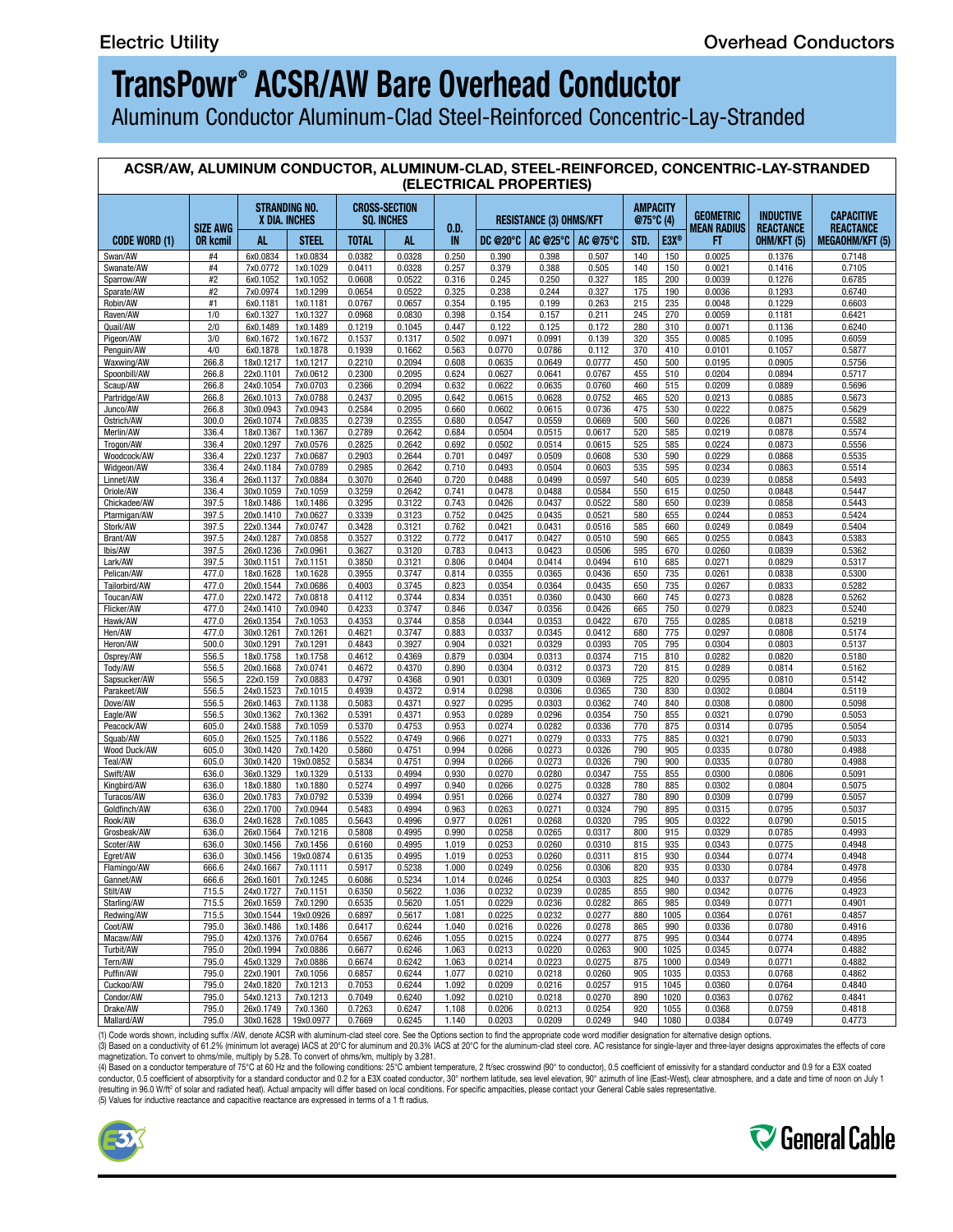Aluminum Conductor Aluminum-Clad Steel-Reinforced Concentric-Lay-Stranded

### **ACSR/AW, ALUMINUM CONDUCTOR, ALUMINUM-CLAD, STEEL-REINFORCED, CONCENTRIC-LAY-STRANDED (ELECTRICAL PROPERTIES)**

| CODE WORD (1) |
|---------------|
| Swan/AW       |
| Swanate/AW    |
| Sparrow/AW    |
| Sparate/AW    |
| Robin/AW      |
| Raven/AW      |
| Quail/AW      |
| Pigeon/AW     |
| Penguin/AW    |
| Waxwing/AW    |
| Spoonbill/AW  |
| Scaup/AW      |
| Partridge/AW  |
| Junco/AW      |
| Ostrich/AW    |
| Merlin/AW     |
| Trogon/AW     |
| Woodcock/AW   |
| Widgeon/AW    |
| Linnet/AW     |
| Oriole/AW     |
| Chickadee/AW  |
| Ptarmigan/AW  |
| Stork/AW      |
| Brant/AW      |
| Ibis/AW       |
| Lark/AW       |
| Pelican/AW    |
| Tailorbird/AW |
| Toucan/AW     |
| Flicker/AW    |
| Hawk/AW       |
| Hen/AW        |
| Heron/AW      |
| Osprey/AW     |
| Tody/AW       |
| Sapsucker/AW  |
| Parakeet/AW   |
| Dove/AW       |
| Eagle/AW      |
| Peacock/AW    |
| Squab/AW      |
| Wood Duck/AW  |
| Teal/AW       |
| Swift/AW      |
| Kingbird/AW   |
| Turacos/AW    |
| Goldfinch/AW  |
| Rook/AW       |
| Grosbeak/AW   |
| Scoter/AW     |
| Egret/AW      |
| Flamingo/AW   |
| Gannet/AW     |
| Stilt/AW      |
| Starling/AW   |
| Redwing/AW    |
| Coot/AW       |
| Macaw/AW      |
| Turbit/AW     |
| Tern/AW       |
| Puffin/AW     |
| Cuckoo/AW     |
| Condor/AW     |
| Drake/AW      |
| Mallard/AW    |
|               |

(1) Code words shown, including suffix /AW, denote ACSR with aluminum-clad steel core. See the Options section to find the appropriate code word modifier designation for alternative design options.

(3) Based on a conductivity of 61.2% (minimum lot average) IACS at 20°C for aluminum and 20.3% IACS at 20°C for the aluminum-clad steel core. AC resistance for single-layer and three-layer designs approximates the effects

conductor, 0.5 coefficient of absorptivity for a standard conductor and 0.2 for a E3X coated conductor, 30° northern latitude, sea level elevation, 90° azimuth of line (East-West), clear atmosphere, and a date and time of (resulting in 96.0 W/ft° of solar and radiated heat). Actual ampacity will differ based on local conditions. For specific ampacities, please contact your General Cable sales representative.<br>(5) Values for inductive reactan



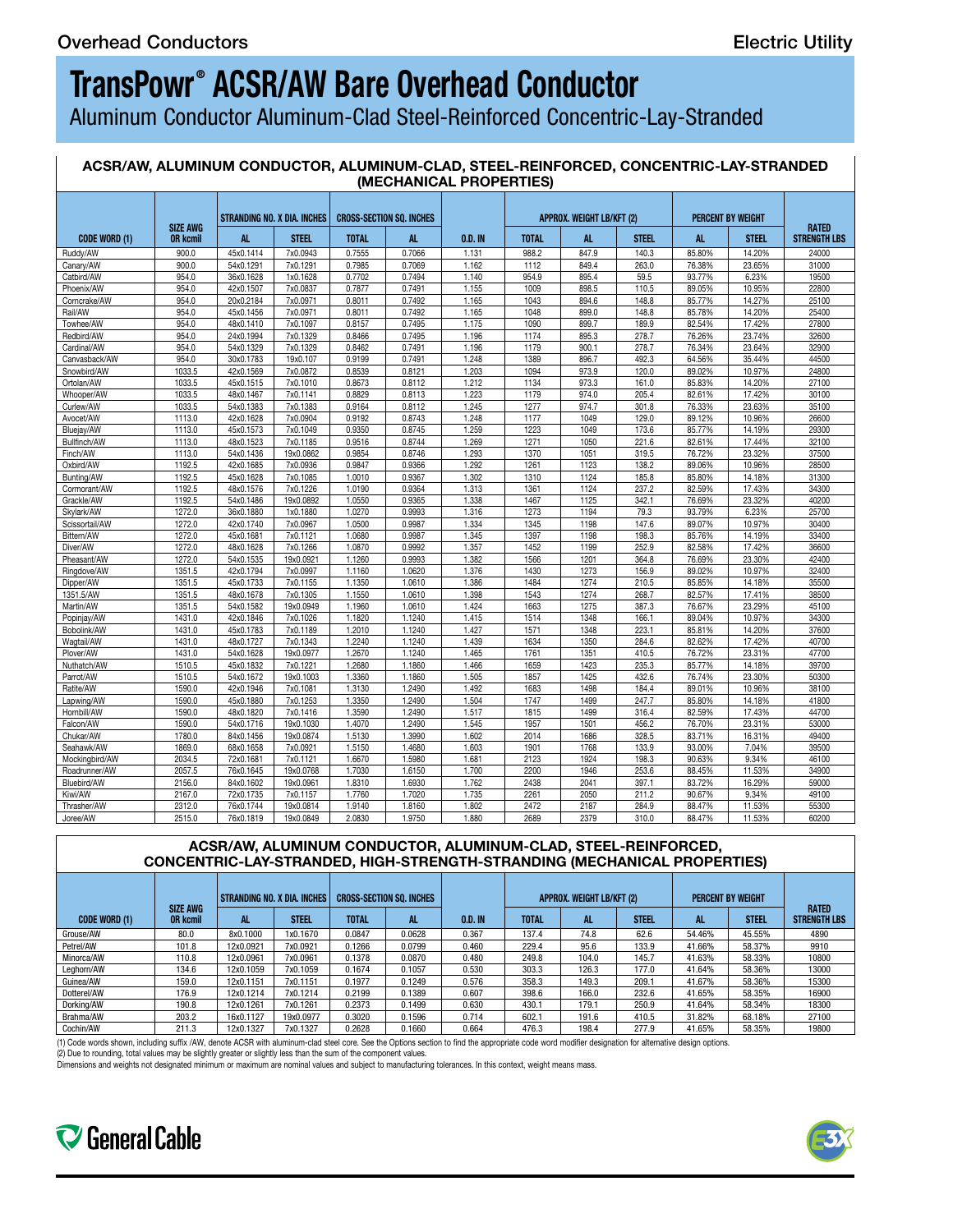Aluminum Conductor Aluminum-Clad Steel-Reinforced Concentric-Lay-Stranded

#### **ACSR/AW, ALUMINUM CONDUCTOR, ALUMINUM-CLAD, STEEL-REINFORCED, CONCENTRIC-LAY-STRANDED (MECHANICAL PROPERTIES)**

|                            |                 | STRANDING NO. X DIA. INCHES   CROSS-SECTION SO. INCHES |              |              |        |         |              |           |              | <b>APPROX. WEIGHT LB/KFT (2)</b> |                          |                     |  |  |  |  |  |
|----------------------------|-----------------|--------------------------------------------------------|--------------|--------------|--------|---------|--------------|-----------|--------------|----------------------------------|--------------------------|---------------------|--|--|--|--|--|
|                            | <b>SIZE AWG</b> |                                                        |              |              |        |         |              |           |              |                                  | <b>PERCENT BY WEIGHT</b> | RATED               |  |  |  |  |  |
| <b>CODE WORD (1)</b>       | <b>OR kcmil</b> |                                                        | <b>STEEL</b> | <b>TOTAL</b> |        | 0.D. IN | <b>TOTAL</b> | <b>AL</b> | <b>STEEL</b> |                                  | <b>STEEL</b>             | <b>STRENGTH LBS</b> |  |  |  |  |  |
| Ruddy/AW                   | 900.0           | 45x0.1414                                              | 7x0.0943     | 0.7555       | 0.7066 | 1.131   | 988.2        | 847.9     | 140.3        | 85.80%                           | 14.20%                   | 24000               |  |  |  |  |  |
| Canary/AW                  | 900.0           | 54x0.1291                                              | 7x0.1291     | 0.7985       | 0.7069 | 1.162   | 1112         | 849.4     | 263.0        | 76.38%                           | 23.65%                   | 31000               |  |  |  |  |  |
| Catbird/AW                 | 954.0           | 36x0.1628                                              | 1x0.1628     | 0.7702       | 0.7494 | 1.140   | 954.9        | 895.4     | 59.5         | 93.77%                           | 6.23%                    | 19500               |  |  |  |  |  |
| Phoenix/AW                 | 954.0           | 42x0.1507                                              | 7x0.0837     | 0.7877       | 0.7491 | 1.155   | 1009         | 898.5     | 110.5        | 89.05%                           | 10.95%                   | 22800               |  |  |  |  |  |
| Corncrake/AW               | 954.0           | 20x0.2184                                              | 7x0.0971     | 0.8011       | 0.7492 | 1.165   | 1043         | 894.6     | 148.8        | 85.77%                           | 14.27%                   | 25100               |  |  |  |  |  |
| Rail/AW                    | 954.0           | 45x0.1456                                              | 7x0.0971     | 0.8011       | 0.7492 | 1.165   | 1048         | 899.0     | 148.8        | 85.78%                           | 14.20%                   | 25400               |  |  |  |  |  |
| Towhee/AW                  | 954.0           | 48x0.1410                                              | 7x0.1097     | 0.8157       | 0.7495 | 1.175   | 1090         | 899.7     | 189.9        | 82.54%                           | 17.42%                   | 27800               |  |  |  |  |  |
| Redbird/AW                 | 954.0           | 24x0.1994                                              | 7x0.1329     | 0.8466       | 0.7495 | 1.196   | 1174         | 895.3     | 278.7        | 76.26%                           | 23.74%                   | 32600               |  |  |  |  |  |
| Cardinal/AW                | 954.0           | 54x0.1329                                              | 7x0.1329     | 0.8462       | 0.7491 | 1.196   | 1179         | 900.1     | 278.7        | 76.34%                           | 23.64%                   | 32900               |  |  |  |  |  |
| Canvasback/AW              | 954.0           | 30x0.1783                                              | 19x0.107     | 0.9199       | 0.7491 | 1.248   | 1389         | 896.7     | 492.3        | 64.56%                           | 35.44%                   | 44500               |  |  |  |  |  |
| Snowbird/AW                | 1033.5          | 42x0.1569                                              | 7x0.0872     | 0.8539       | 0.8121 | 1.203   | 1094         | 973.9     | 120.0        | 89.02%                           | 10.97%                   | 24800               |  |  |  |  |  |
| Ortolan/AW                 | 1033.5          | 45x0.1515                                              | 7x0.1010     | 0.8673       | 0.8112 | 1.212   | 1134         | 973.3     | 161.0        | 85.83%                           | 14.20%                   | 27100               |  |  |  |  |  |
| Whooper/AW                 | 1033.5          | 48x0.1467                                              | 7x0.1141     | 0.8829       | 0.8113 | 1.223   | 1179         | 974.0     | 205.4        | 82.61%                           | 17.42%                   | 30100               |  |  |  |  |  |
| Curlew/AW                  | 1033.5          | 54x0.1383                                              | 7x0.1383     | 0.9164       | 0.8112 | 1.245   | 1277         | 974.7     | 301.8        | 76.33%                           | 23.63%                   | 35100               |  |  |  |  |  |
| Avocet/AW                  | 1113.0          | 42x0.1628                                              | 7x0.0904     | 0.9192       | 0.8743 | 1.248   | 1177         | 1049      | 129.0        | 89.12%                           | 10.96%                   | 26600               |  |  |  |  |  |
|                            | 1113.0          | 45x0.1573                                              | 7x0.1049     | 0.9350       | 0.8745 | 1.259   | 1223         | 1049      | 173.6        | 85.77%                           | 14.19%                   | 29300               |  |  |  |  |  |
| Bluejay/AW<br>Bullfinch/AW | 1113.0          | 48x0.1523                                              | 7x0.1185     | 0.9516       | 0.8744 | 1.269   | 1271         | 1050      | 221.6        | 82.61%                           | 17.44%                   | 32100               |  |  |  |  |  |
|                            | 1113.0          | 54x0.1436                                              | 19x0.0862    | 0.9854       | 0.8746 | 1.293   | 1370         | 1051      | 319.5        | 76.72%                           | 23.32%                   | 37500               |  |  |  |  |  |
| Finch/AW                   | 1192.5          |                                                        |              |              |        |         |              |           |              |                                  |                          |                     |  |  |  |  |  |
| Oxbird/AW                  |                 | 42x0.1685                                              | 7x0.0936     | 0.9847       | 0.9366 | 1.292   | 1261         | 1123      | 138.2        | 89.06%                           | 10.96%                   | 28500               |  |  |  |  |  |
| Bunting/AW                 | 1192.5          | 45x0.1628                                              | 7x0.1085     | 1.0010       | 0.9367 | 1.302   | 1310         | 1124      | 185.8        | 85.80%                           | 14.18%                   | 31300               |  |  |  |  |  |
| Cormorant/AW               | 1192.5          | 48x0.1576                                              | 7x0.1226     | 1.0190       | 0.9364 | 1.313   | 1361         | 1124      | 237.2        | 82.59%                           | 17.43%                   | 34300               |  |  |  |  |  |
| Grackle/AW                 | 1192.5          | 54x0.1486                                              | 19x0.0892    | 1.0550       | 0.9365 | 1.338   | 1467         | 1125      | 342.1        | 76.69%                           | 23.32%                   | 40200               |  |  |  |  |  |
| Skylark/AW                 | 1272.0          | 36x0.1880                                              | 1x0.1880     | 1.0270       | 0.9993 | 1.316   | 1273         | 1194      | 79.3         | 93.79%                           | 6.23%                    | 25700               |  |  |  |  |  |
| Scissortail/AW             | 1272.0          | 42x0.1740                                              | 7x0.0967     | 1.0500       | 0.9987 | 1.334   | 1345         | 1198      | 147.6        | 89.07%                           | 10.97%                   | 30400               |  |  |  |  |  |
| Bittern/AW                 | 1272.0          | 45x0.1681                                              | 7x0.1121     | 1.0680       | 0.9987 | 1.345   | 1397         | 1198      | 198.3        | 85.76%                           | 14.19%                   | 33400               |  |  |  |  |  |
| Diver/AW                   | 1272.0          | 48x0.1628                                              | 7x0.1266     | 1.0870       | 0.9992 | 1.357   | 1452         | 1199      | 252.9        | 82.58%                           | 17.42%                   | 36600               |  |  |  |  |  |
| Pheasant/AW                | 1272.0          | 54x0.1535                                              | 19x0.0921    | 1.1260       | 0.9993 | 1.382   | 1566         | 1201      | 364.8        | 76.69%                           | 23.30%                   | 42400               |  |  |  |  |  |
| Ringdove/AW                | 1351.5          | 42x0.1794                                              | 7x0.0997     | 1.1160       | 1.0620 | 1.376   | 1430         | 1273      | 156.9        | 89.02%                           | 10.97%                   | 32400               |  |  |  |  |  |
| Dipper/AW                  | 1351.5          | 45x0.1733                                              | 7x0.1155     | 1.1350       | 1.0610 | 1.386   | 1484         | 1274      | 210.5        | 85.85%                           | 14.18%                   | 35500               |  |  |  |  |  |
| 1351.5/AW                  | 1351.5          | 48x0.1678                                              | 7x0.1305     | 1.1550       | 1.0610 | 1.398   | 1543         | 1274      | 268.7        | 82.57%                           | 17.41%                   | 38500               |  |  |  |  |  |
| Martin/AW                  | 1351.5          | 54x0.1582                                              | 19x0.0949    | 1.1960       | 1.0610 | 1.424   | 1663         | 1275      | 387.3        | 76.67%                           | 23.29%                   | 45100               |  |  |  |  |  |
| Popinjay/AW                | 1431.0          | 42x0.1846                                              | 7x0.1026     | 1.1820       | 1.1240 | 1.415   | 1514         | 1348      | 166.1        | 89.04%                           | 10.97%                   | 34300               |  |  |  |  |  |
| Bobolink/AW                | 1431.0          | 45x0.1783                                              | 7x0.1189     | 1.2010       | 1.1240 | 1.427   | 1571         | 1348      | 223.1        | 85.81%                           | 14.20%                   | 37600               |  |  |  |  |  |
| Wagtail/AW                 | 1431.0          | 48x0.1727                                              | 7x0.1343     | 1.2240       | 1.1240 | 1.439   | 1634         | 1350      | 284.6        | 82.62%                           | 17.42%                   | 40700               |  |  |  |  |  |
| Plover/AW                  | 1431.0          | 54x0.1628                                              | 19x0.0977    | 1.2670       | 1.1240 | 1.465   | 1761         | 1351      | 410.5        | 76.72%                           | 23.31%                   | 47700               |  |  |  |  |  |
| Nuthatch/AW                | 1510.5          | 45x0.1832                                              | 7x0.1221     | 1.2680       | 1.1860 | 1.466   | 1659         | 1423      | 235.3        | 85.77%                           | 14.18%                   | 39700               |  |  |  |  |  |
| Parrot/AW                  | 1510.5          | 54x0.1672                                              | 19x0.1003    | 1.3360       | 1.1860 | 1.505   | 1857         | 1425      | 432.6        | 76.74%                           | 23.30%                   | 50300               |  |  |  |  |  |
| Ratite/AW                  | 1590.0          | 42x0.1946                                              | 7x0.1081     | 1.3130       | 1.2490 | 1.492   | 1683         | 1498      | 184.4        | 89.01%                           | 10.96%                   | 38100               |  |  |  |  |  |
| Lapwing/AW                 | 1590.0          | 45x0.1880                                              | 7x0.1253     | 1.3350       | 1.2490 | 1.504   | 1747         | 1499      | 247.7        | 85.80%                           | 14.18%                   | 41800               |  |  |  |  |  |
| Hornbill/AW                | 1590.0          | 48x0.1820                                              | 7x0.1416     | 1.3590       | 1.2490 | 1.517   | 1815         | 1499      | 316.4        | 82.59%                           | 17.43%                   | 44700               |  |  |  |  |  |
| Falcon/AW                  | 1590.0          | 54x0.1716                                              | 19x0.1030    | 1.4070       | 1.2490 | 1.545   | 1957         | 1501      | 456.2        | 76.70%                           | 23.31%                   | 53000               |  |  |  |  |  |
| Chukar/AW                  | 1780.0          | 84x0.1456                                              | 19x0.0874    | 1.5130       | 1.3990 | 1.602   | 2014         | 1686      | 328.5        | 83.71%                           | 16.31%                   | 49400               |  |  |  |  |  |
| Seahawk/AW                 | 1869.0          | 68x0.1658                                              | 7x0.0921     | 1.5150       | 1.4680 | 1.603   | 1901         | 1768      | 133.9        | 93.00%                           | 7.04%                    | 39500               |  |  |  |  |  |
| Mockingbird/AW             | 2034.5          | 72x0.1681                                              | 7x0.1121     | 1.6670       | 1.5980 | 1.681   | 2123         | 1924      | 198.3        | 90.63%                           | 9.34%                    | 46100               |  |  |  |  |  |
| Roadrunner/AW              | 2057.5          | 76x0.1645                                              | 19x0.0768    | 1.7030       | 1.6150 | 1.700   | 2200         | 1946      | 253.6        | 88.45%                           | 11.53%                   | 34900               |  |  |  |  |  |
| Bluebird/AW                | 2156.0          | 84x0.1602                                              | 19x0.0961    | 1.8310       | 1.6930 | 1.762   | 2438         | 2041      | 397.1        | 83.72%                           | 16.29%                   | 59000               |  |  |  |  |  |
| Kiwi/AW                    | 2167.0          | 72x0.1735                                              | 7x0.1157     | 1.7760       | 1.7020 | 1.735   | 2261         | 2050      | 211.2        | 90.67%                           | 9.34%                    | 49100               |  |  |  |  |  |
|                            |                 |                                                        |              | 1.9140       |        |         |              |           |              |                                  |                          |                     |  |  |  |  |  |
| Thrasher/AW                | 2312.0          | 76x0.1744                                              | 19x0.0814    |              | 1.8160 | 1.802   | 2472         | 2187      | 284.9        | 88.47%                           | 11.53%                   | 55300               |  |  |  |  |  |
| Joree/AW                   | 2515.0          | 76x0.1819                                              | 19x0.0849    | 2.0830       | 1.9750 | 1.880   | 2689         | 2379      | 310.0        | 88.47%                           | 11.53%                   | 60200               |  |  |  |  |  |

#### **ACSR/AW, ALUMINUM CONDUCTOR, ALUMINUM-CLAD, STEEL-REINFORCED, CONCENTRIC-LAY-STRANDED, HIGH-STRENGTH-STRANDING (MECHANICAL PROPERTIES)**

|               |                            | STRANDING NO. X DIA. INCHES   CROSS-SECTION SQ. INCHES |                      |              |        |           |              | APPROX. WEIGHT LB/KFT (2) |       |        | <b>PERCENT BY WEIGHT</b> |                                     |
|---------------|----------------------------|--------------------------------------------------------|----------------------|--------------|--------|-----------|--------------|---------------------------|-------|--------|--------------------------|-------------------------------------|
| CODE WORD (1) | SIZE AW<br><b>OR kcmil</b> |                                                        | <b>STEEL</b>         | <b>TOTAI</b> |        | $0.D.$ IN | <b>TOTAL</b> | - -                       | STEE. | - 715  | <b>STEEL</b>             | <b>RATED</b><br><b>STRENGTH LBS</b> |
| Grouse/AW     | 80.0                       | 8x0.1000                                               | 1x0.1670             | 0.0847       | 0.0628 | 0.367     | 137.4        | 74.8                      | 62 6  | 54.46% | 45.55%                   | 4890                                |
| Petrel/AW     | 101.8                      | 12x0.0921                                              | 7x0.0921             | 0.1266       | 0.0799 | 0.460     | 229.4        | 95.6                      | 133.9 | 41.66% | 58.37%                   | 9910                                |
| Minorca/AW    | 110.8                      | 12x0.0961                                              | 7x0.0961             | 0.1378       | 0.0870 | 0.480     | 249.8        | 104.0                     | 145.7 | 41.63% | 58.33%                   | 10800                               |
| Leghorn/AW    | 134.6                      | 12x0.1059                                              | 7x0.1059             | 0.1674       | 0.1057 | 0.530     | 303.3        | 126.3                     |       | 41.64% | 58.36%                   | 13000                               |
| Guinea/AW     | 159.0                      | 12x0.1151                                              | 7x0.1151             | 0.1977       | 0.1249 | 0.576     | 358.3        | 149.3                     | 209.  | 41.67% | 58.36%                   | 15300                               |
| Dotterel/AW   | 176.9                      | 12x0.1214                                              | 7x0.1214             | 0.2199       | 0.1389 | 0.607     | 398.6        | 166.0                     | 232.6 | 41.65% | 58.35%                   | 16900                               |
| Dorking/AW    | 190.8                      | 12x0.1261                                              | 7x0.126 <sup>-</sup> | 0.237'       | 0.1499 | 0.630     | 430.1        | 179.1                     | 250.9 | 41.64% | 58.34%                   | 18300                               |
| Brahma/AW     | 203.2                      | 16x0.1127                                              | 19x0.097             | 0.3020       | 0.1596 | 0.714     | 602.1        | 191.6                     | 410.5 | 31.82% | 68.18%                   | 27100                               |
| Cochin/AW     | 211.3                      | 12x0.1327                                              | 7x0.1327             | 0.2628       | 0.1660 | 0.664     | 476.3        | 198.4                     | 277.9 | 41.65% | 58.35%                   | 19800                               |

(1) Code words shown, including suffix /AW, denote ACSR with aluminum-clad steel core. See the Options section to find the appropriate code word modifier designation for alternative design options.

(2) Due to rounding, total values may be slightly greater or slightly less than the sum of the component values.<br>Dimensions and weights not designated minimum or maximum are nominal values and subject to manufacturing tole